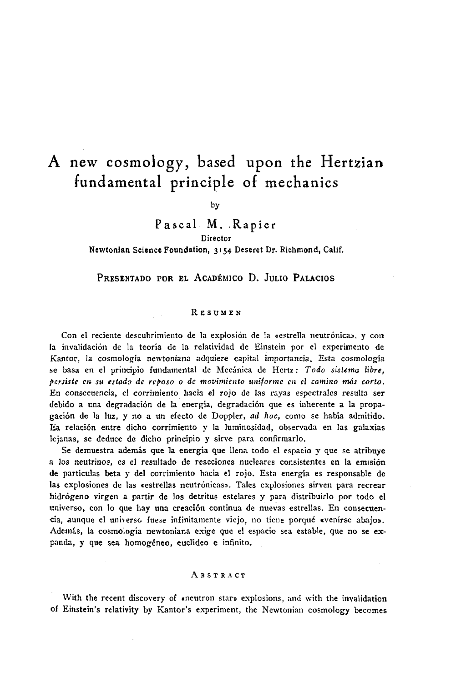# A new cosmology, based upon the Hertzian fundamental principle of mechanics

by

Pascal M. Rapier Director

Newtonian Science Foundation, 3154 Deseret Dr. Richmond, Calif.

PRESENTADO POR EL ACADÉMICO D. JULIO PALACIOS

#### **RESUMEN**

Con el reciente descubrimiento de la explosión de la «estrella neutrónica», y con la invalidación de la teoría de la relatividad de Einstein por el experimento de Kantor, la cosmología newtoniana adquiere capital importancia. Esta cosmología se basa en el principio fundamental de Mecánica de Hertz : *Todo sistema libre, persiste* r» *su estado de reposo* o *de movimiento uniforme en el camino más corto.* En consecuencia, el corrimiento hacia el rojo de las rayas espectrales resulta ser debido a una degradación de la energía, degradación que es inherente a la propagación de la luz, y no a un efecto de Doppler, *ad hoc,* como se había admitido. Ea relación entre dicho corrimiento y la luminosidad, observada en las galaxias lejanas, se deduce de dicho principio y sirve para confirmarlo.

Se demuestra además que la energía que llena todo el espacio y que se atribuye a los neutrinos, es el resultado de reacciones nucleares consistentes en la emisión de partículas beta y del corrimiento hacia el rojo. Esta energía es responsable de las explosiones de las «estrellas neutrónicas». Tales explosiones sirven para recrear hidrógeno virgen a partir de los detritus estelares y para distribuirlo por todo el universo, con lo que hay una creación continua de nuevas estrellas. En consecuencia, dunque el universo fuese infinitamente viejo, no tiene porqué «venirse abajo». Además, la cosmología newtoniana exige que el espacio sea estable, que no se expanda, y que sea homogéneo, euclideo e infinito.

#### ABSTRACT

With the recent discovery of «neutron star» explosions, and with the invalidation of Einstein's relativity by Kantor's experiment, the Newtonian cosmology becomes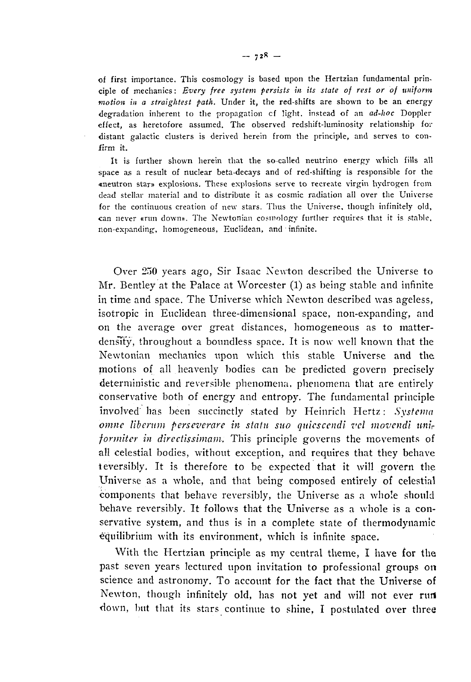of first importance. This cosmology is based upon the Hertzian fundamental principle of mechanics : *Every free system persists in its state of rest or of uniform motion in a straightest path.* Under it, the red-shifts are shown to be an energy degradation inherent to the propagation cf light, instead of an *ad-hoc* Doppler effect, as heretofore assumed. The observed redshift-luminosity relationship for distant galactic clusters is derived herein from the principle, and serves to confirm it.

It is further shown herein that the so-called neutrino energy which fills all space as a result of nuclear beta-decays and of red-shifting is responsible for the «neutron star» explosions. These explosions serve to recreate virgin hydrogen from dead stellar material and to distribute it as cosmic radiation all over the Universe for the continuous creation of new stars. Thus the Universe, though infinitely old, can never «run down». The Newtonian cosmology further requires that it is stable, non-expanding, homogeneous, Euclidean, and infinite.

Over 250 years ago, Sir Isaac Newton described the Universe to Mr. Bentley at the Palace at Worcester (1) as being stable and infinite in time and space. The Universe which Newton described was ageless, isotropie in Euclidean three-dimensional space, non-expanding, and on the average over great distances, homogeneous as to matterdensity, throughout a boundless space. It is now well known that the Newtonian mechanics upon which this stable Universe and the motions of all heavenly bodies can be predicted govern precisely deterministic and reversible phenomena, phenomena that are entirely conservative both of energy and entropy. The fundamental principle involved" has been succinctly stated by Heinrich Hertz : *Systema omnc libentm perseverare in statu suo quicsccndï vel movcndi unir foriniter in directissimam.* This principle governs the movements of all celestial bodies, without exception, and requires that they behave ieversibly. It is therefore to be expected that it will govern the Universe as a whole, and that being composed entirely of celestial components that behave reversibly, the Universe as a whole should behave reversibly. It follows that the Universe as a whole is a conservative system, and thus is in a complete state of thermodynamic equilibrium with its environment, which is infinite space.

With the Hertzian principle as my central theme, I have for the past seven years lectured upon invitation to professional groups on science and astronomy. To account for the fact that the Universe of Newton, though infinitely old, has not yet and will not ever rurt down, but that its stars continue to shine, I postulated over three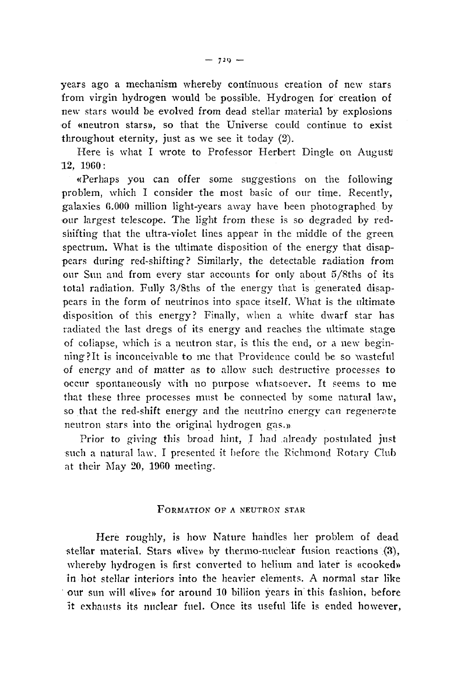years ago a mechanism whereby continuous creation of new stars from virgin hydrogen would be possible. Hydrogen for creation of new stars would be evolved from dead stellar material by explosions of «neutron stars», so that the Universe could continue to exist throughout eternity, just as we see it today (2).

Here is what I wrote to Professor Herbert Dingle on August 12, I960:

«Perhaps you can offer some suggestions on the following problem, which I consider the most basic of our time. Recently, galaxies 0.000 million light-years away have been photographed by •our largest telescope. The light from these is so degraded by redshifting that the ultra-violet lines appear in the middle of the green, spectrum. What is the ultimate disposition of the energy that disappears during red-shifting? Similarly, the detectable radiation from our Sun and from every star accounts for only about 5/8ths of its total radiation. Fully 3/Sths of the energy that is generated disappears in the form of neutrinos into space itself. What is the ultimate disposition of this energy? Finally, when a white dwarf star has radiated the last dregs of its energy and reaches the ultimate stage of collapse, which is a neutron star, is this the end, or a new beginning ?It is inconceivable to me that Providence could be so wasteful of energy and of matter as to allow such destructive processes to occur spontaneously with no purpose whatsoever. It seems to me that these three processes must be connected by some natural law, so that the red-shift energy and the neutrino energy can regenerate neutron stars into the original hydrogen gas.»

Prior to giving this broad hint, I had already postulated just such a natural law. I presented it before the Richmond Rotary Club at their May 20, 1960 meeting.

## FORMATION OF A NEUTRON STAR

Here roughly, is how Nature handles her problem of dead stellar material. Stars «live» by thermo-nuclear fusion reactions (3), whereby hydrogen is first converted to helium and later is «cooked» in hot stellar interiors into the heavier elements. A normal star like our sun will «live» for around 10 billion years in this fashion, before it exhausts its nuclear fuel. Once its useful life is ended however,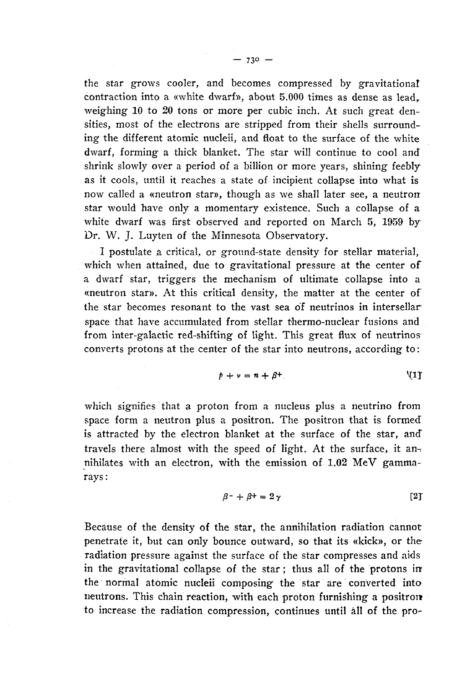the star grows cooler, and becomes compressed by gravitational contraction into a «white dwarf», about 5.000 times as dense as lead, weighing 10 to 20 tons or more per cubic inch. At such great densities, most of the electrons are stripped from their shells surrounding the different atomic nucleii, and float to the surface of the white dwarf, forming a thick blanket. The star will continue to cool and shrink slowly over a period of a billion or more years, shining feebly as it cools, until it reaches a state of incipient collapse into what is now called a «neutron star», though as we shall later see, a neutron star would have only a momentary existence. Such a collapse of a white dwarf was first observed and reported on March 5, 1959 by Dr. W. J. Luyten of the Minnesota Observatory.

I postulate a critical, or ground-state density for stellar material, which when attained, due to gravitational pressure at the center of a dwarf star, triggers the mechanism of ultimate collapse into a «neutron star». At this critical density, the matter at the center of the star becomes resonant to the vast sea of neutrinos in intersellar space that have accumulated from stellar thermo-nuclear fusions and from inter-galactic red-shifting of light. This great flux of neutrinos converts protons at the center of the star into neutrons, according to :

$$
p + \nu = n + \beta^+ \tag{1}
$$

which signifies that a proton from a nucleus plus a neutrino from space form a neutron plus a positron. The positron that is formed is attracted by the electron blanket at the surface of the star, and" travels there almost with the speed of light. At the surface, it annihilates with an electron, with the emission of 1.02 MeV gammarays:

$$
\beta^{-} + \beta^{+} = 2\gamma \tag{2}
$$

Because of the density of the star, the annihilation radiation cannot penetrate it, but can only bounce outward, so that its «kick», or the radiation pressure against the surface of the star compresses and aids in the gravitational collapse of the star ; thus all of the protons inthe normal atomic nucleii composing the star are converted into neutrons. This chain reaction, with each proton furnishing a positron to increase the radiation compression, continues until all of the pro-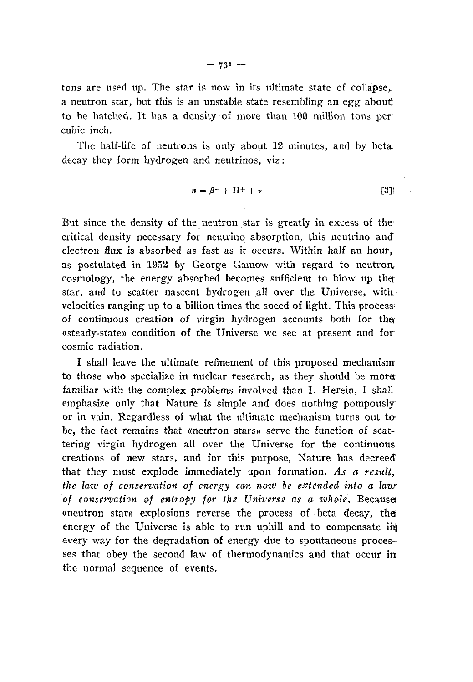tons are used up. The star *is* now in its ultimate state of collapse,. a neutron star, but this is an unstable state resembling an egg about to be hatched. It has a density of more than 100 million tons per cubic inch.

The half-life of neutrons is only about 12 minutes, and by beta decay they form hydrogen and neutrinos, viz :

$$
n = \beta^- + H^+ + \nu \tag{3}
$$

But since the density of the neutron star is greatly in excess of the critical density necessary for neutrino absorption, this neutrino and electron flux is absorbed as fast as it occurs. Within half an hour, as postulated in 1952 by George Gamow with regard to neutron. cosmology, the energy absorbed becomes sufficient to blow up the star, and to scatter nascent hydrogen all over the Universe, with velocities ranging up to a billion times the speed of light. This process of continuous creation of virgin hydrogen accounts both for the- «steady-state» condition of the Universe we see at present and for cosmic radiation.

I shall leave the ultimate refinement of this proposed mechanism to those who specialize in nuclear research, as they should be more familiar with the complex problems involved than I. Herein, I shall emphasize only that Nature is simple and does nothing pompously or in vain. Regardless of what the ultimate mechanism turns out tobe, the fact remains that «neutron stars» serve the function of scattering virgin hydrogen all over the Universe for the continuous creations of. new stars, and for this purpose, Nature has decreed that they must explode immediately upon formation. As a result, *the law of conservation of energy can now be extended into a law* of conservation of entropy for the Universe as a whole. Because «neutron star» explosions reverse the process of beta decay, the energy of the Universe is able to run uphill and to compensate ihj every way for the degradation of energy due to spontaneous processes that obey the second law of thermodynamics and that occur in the normal sequence of events.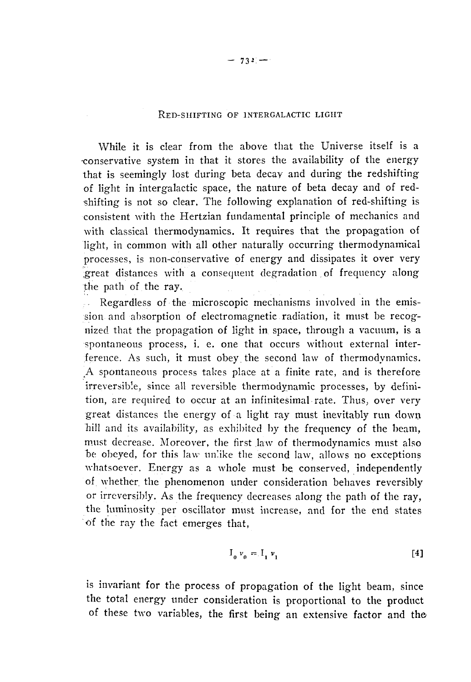## RED-SHIFTING *OF* INTERGALACTIC LIGHT

While it is clear from the above that the Universe itself is a -conservative system in that it stores the availability of the energy that is seemingly lost during beta decay and during the redshifting of light in intergalactic space, the nature of beta decay and of redshifting is not so clear. The following explanation of red-shifting is consistent with the Hertzian fundamental principle of mechanics and with classical thermodynamics. It requires that the propagation of light, in common with all other naturally occurring thermodynamical processes, *is* non-conservative of energy and dissipates it over very .great distances with a consequent degradation of frequency along the path of the ray.

Regardless of the microscopic mechanisms involved in the emission and absorption of electromagnetic radiation, it must be recognized that the propagation of light in space, through a vacuum, is a spontaneous process, i. e. one that occurs without external interference. As such, it must obey the second law of thermodynamics. ^A spontaneous process takes place at a finite rate, and is therefore irreversible, since all reversible thermodynamic processes, by definition, are required to occur at an infinitesimal rate. Thus, over very great distances the energy of a light ray must inevitably run down hill and its availability, as exhibited by the frequency of the beam, must decrease. Moreover, the first law of thermodynamics must also be obeyed, for this law unlike the second law, allows no exceptions whatsoever. Energy as a whole must be conserved, independently of whether the phenomenon under consideration behaves reversibly or irreversibly. As the frequency decreases along the path of the ray, the luminosity per oscillator must increase, and for the end states of the ray the fact emerges that,

$$
I_0 \nu_0 = I_1 \nu_1 \tag{4}
$$

is invariant for the process of propagation of the light beam, since the total energy under consideration is proportional to the product of these two variables, the first being an extensive factor and the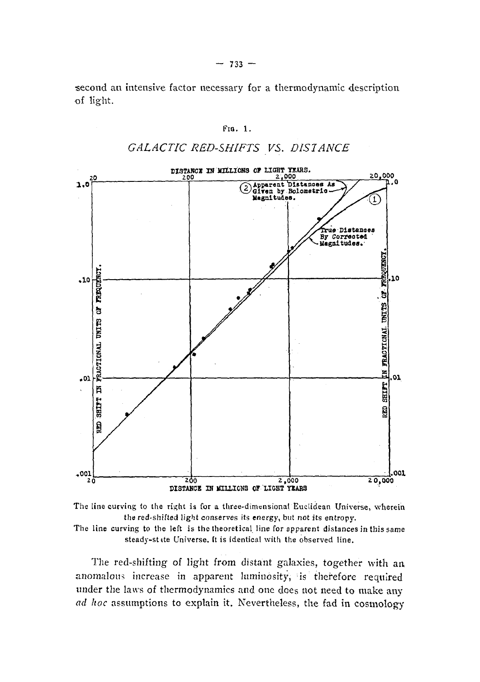second an intensive factor necessary for a thermodynamic description of light.

Fia. 1.

*GALACTIC RED-SHIFTS VS. DISTANCE*



The line curving to the *right* is for a three-dimensional Euclidean Universe, wherein the red-shifted light conserves its energy, but not its entropy. The line curving to the left is the theoretical line for apparent distances in this same steady-stite Universe, it is identical with the observed line.

The red-shifting of light from distant galaxies, together with an anomalous increase in apparent luminosity, is therefore required under the laws of thermodynamics and one does not need to make any *ad hoc* assumptions to explain it. Nevertheless, the fad in cosmology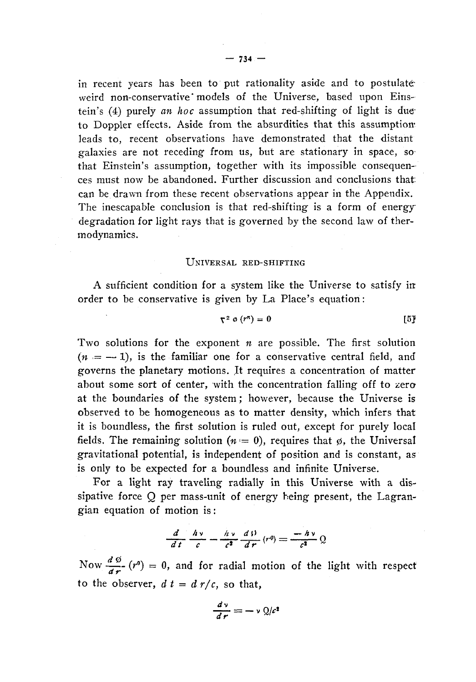in recent years has been to put rationality aside and to postulateweird non-conservative" models of the Universe, based upon Einstein's (4) purely *an hoc* assumption that red-shifting of light is dueto Doppler effects. Aside from the absurdities that this assumption leads to, recent observations have demonstrated that the distant galaxies are not receding from us, but are stationary in space, sothat Einstein's assumption, together with its impossible consequences must now be abandoned. Further discussion and conclusions that can be drawn from these recent observations appear in the Appendix. The inescapable conclusion is that red-shifting is a form of energydegradation for light rays that is governed by the second law of thermodynamics.

#### UNIVERSAL RED-SHIFTING

A sufficient condition for a system like the Universe to satisfy in order to be conservative is given by La Place's equation :

$$
\nabla^2 \varphi \left( r^n \right) = 0 \tag{5}
$$

Two solutions for the exponent *n* are possible. The first solution  $(n = -1)$ , is the familiar one for a conservative central field, and governs the planetary motions. It requires a concentration of matter about some sort of center, with the concentration falling off to zero at the boundaries of the system ; however, because the Universe is observed to be homogeneous as to matter density, which infers that it is boundless, the first solution is ruled out, except for purely local fields. The remaining solution  $(n = 0)$ , requires that  $\phi$ , the Universal gravitational potential, is independent of position and is constant, as is only to be expected for a boundless and infinite Universe.

For a light ray traveling radially in this Universe with a dissipative force Q per mass-unit of energy being present, the Lagrangian equation of motion is :

$$
\frac{d}{dt}\frac{h\nu}{c} - \frac{h\nu}{c^2}\frac{d\beta}{dr}(r^0) = \frac{-h\nu}{c^2}Q
$$

Now  $\frac{d\varphi}{dx}$  (r<sup>0</sup>) = 0, and for radial motion of the light with respect to the observer,  $d t = d r/c$ , so that,

$$
\frac{d\mathbf{v}}{d\mathbf{r}} = -\mathbf{v} \mathbf{Q}/c^2
$$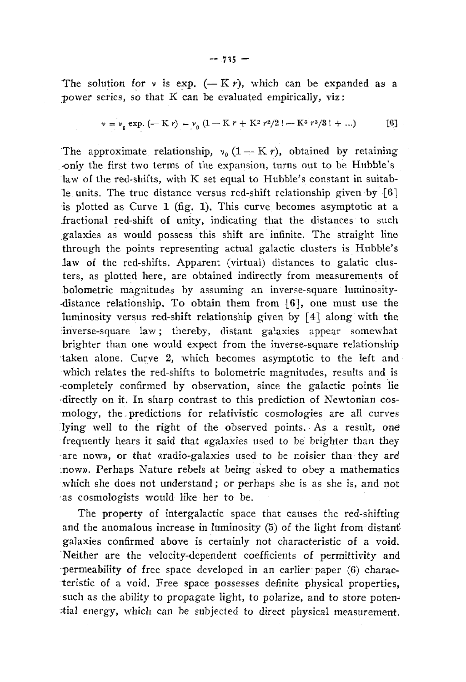$$
v = v_0 \exp.(-K r) = v_0 (1 - K r + K^2 r^2 / 2! - K^3 r^3 / 3! + ...)
$$
 [6]

The approximate relationship,  $v_0$  (1 – K *r*), obtained by retaining •only the first two terms of the expansion, turns out to be Hubble's law of the red-shifts, with K set equal to Hubble's constant in suitable units. The true distance versus red-shift relationship given by  $[6]$ is plotted as Curve 1 (fig, 1). This curve becomes asymptotic at a fractional red-shift of unity, indicating that the distances to such .galaxies as would possess this shift are infinite. The straight line through the points representing actual galactic clusters is Hubble's law of the red-shifts. Apparent (virtual) distances to galatic clusters, as plotted here, are obtained indirectly from measurements of bolometric magnitudes by assuming an inverse-square luminosity- •distance relationship. To obtain them from [6], one must use the luminosity versus red-shift relationship given by [4] along with the, inverse-square law; thereby, distant galaxies appear somewhat brighter than one would expect from the inverse-square relationship •taken alone. Curve 2, which becomes asymptotic to the left and which relates the red-shifts to bolometric magnitudes, results and is -completely confirmed by observation, since the galactic points lie •directly on it. In sharp contrast to this prediction of Newtonian cosmology, the - predictions for relativistic cosmologies are all curves lying well to the right of the observed points. As a result, one : frequently hears it said that «galaxies used to be brighter than they are now», or that «radio-galaxies used to be noisier than they are :now». Perhaps Nature rebels at being asked to obey a mathematics which she does not understand ; or perhaps she is as she is, and not •as cosmologists would like her to be.

The property of intergalactic space that causes the red-shifting and the anomalous increase in luminosity (5) of the light from distant' galaxies confirmed above is certainly not characteristic of a void. Neither are the velocity-dependent coefficients of permittivity and permeability of free space developed in an earlier paper (6) characteristic of a void. Free space possesses definite physical properties, such as the ability to propagate light, to polarize, and to store potential energy, which can be subjected to direct physical measurement.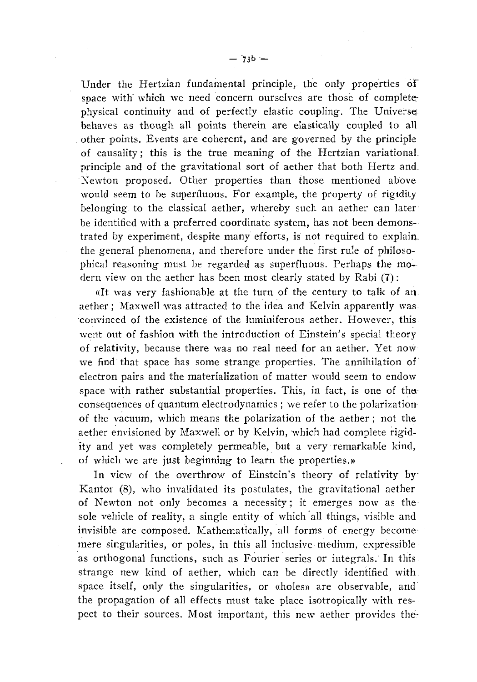Under the Hertzian fundamental principle, the only properties of space with' which we need concern ourselves are those of complete physical continuity and of perfectly elastic coupling. The Universe. behaves as though all points therein are elastically coupled to all other points. Events are coherent, and are governed by the principle of causality ; this is the true meaning of the Hertzian variational. principle and of the gravitational sort of aether that both Hertz and\_ Newton proposed. Other properties than those mentioned above would seem to be superfluous. For example, the property of rigidity belonging to the classical aether, whereby such an aether can later be identified with a preferred coordinate system, has not been demonstrated by experiment, despite many efforts, is not required to explain, the general phenomena, and therefore under the first rule of philosophical reasoning must be regarded as superfluous. Perhaps the modern view on the aether has been most clearly stated by Rabi (T) :

«It was very fashionable at the turn of the century to talk of an aether ; Maxwell was attracted to the idea and Kelvin apparently was convinced of the existence of the luminiferous aether. However, this went out of fashion with the introduction of Einstein's special theory of relativity, because there was no real need for an aether. Yet now we find that space has some strange properties. The annihilation of electron pairs and the materialization of matter would seem to endow space with rather substantial properties. This, in fact, is one of thaconsequences of quantum electrodynamics ; we refer to the polarization of the vacuum, which means the polarization of the aether ; not the aether envisioned by Maxwell or by Kelvin, which had complete rigidity and yet was completely permeable, but a very remarkable kind, of which we are just beginning to learn the properties.»

In view of the overthrow of Einstein's theory of relativity by Kantor (8), who invalidated its postulates, the gravitational aether of Newton not only becomes a necessity; it emerges now as the sole vehicle of reality, a single entity of which all things, visible and invisible are composed. Mathematically, all forms of energy become mere singularities, or poles, in this all inclusive medium, expressible as orthogonal functions, such as Fourier series or integrals. In this strange new kind of aether, which can be directly identified with space itself, only the singularities, or «holes» are observable, and the propagation of all effects must take place isotropically with respect to their sources. Most important, this new aether provides thé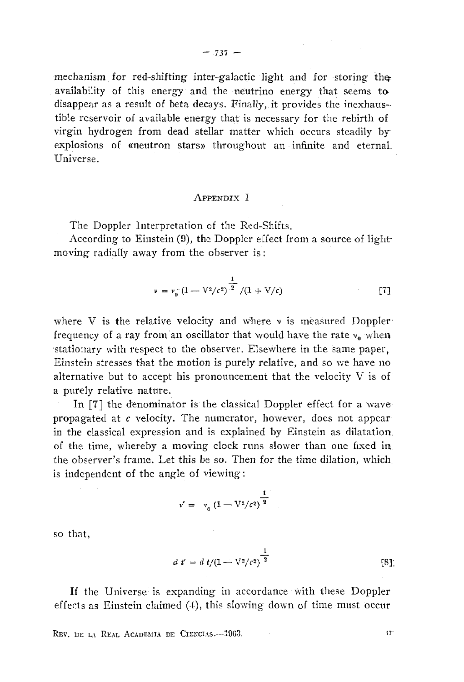mechanism for red-shifting inter-galactic light and for storing the availability of this energy and the neutrino energy that seems to disappear as a result of beta decays. Finally, it provides the inexhaustible reservoir of available energy that is necessary for the rebirth of virgin hydrogen from dead stellar matter which occurs steadily by~ explosions of «neutron stars» throughout an infinite and eternal Universe.

## APPENDIX I

The Doppler Interpretation of the Red-Shifts.

According to Einstein (9), the Doppler effect from a source of light moving radially away from the observer is :

$$
\nu = \nu_0 \left( 1 - \frac{1}{2/c^2} \right)^{\frac{1}{2}} / (1 + \frac{V}{c})
$$
 [7]

where V is the relative velocity and where  $\nu$  is measured Doppler frequency of a ray from an oscillator that would have the rate  $v_0$  when •stationary with respect to the observer. Elsewhere in the same paper, Einstein stresses that the motion is purely relative, and so 'we have no alternative but to accept his pronouncement that the velocity  $V$  is of a purely relative nature.

In [7] the denominator is the classical Doppler effect for a wave propagated at *c* velocity. The numerator, however, does not appear in the classical expression and is explained by Einstein as dilatation, of the time, whereby a moving clock runs slower than one fixed in the observer's frame. Let this be so. Then for the time dilation, which. is independent of the angle of viewing:

$$
v' = v_0 (1 - \nabla^2/c^2)^{\frac{1}{2}}
$$

so that,

$$
d t' = d t / (1 - \nabla^2 / c^2)^{\frac{1}{2}}
$$
 [8]

If the Universe is expanding in accordance with these Doppler effects as Einstein claimed  $(4)$ , this slowing-down of time must occur-

REV. DE LA REAL ACADEMIA DE CIENCIAS.—1963. jr i statistica de la seconda de la seconda de la seconda de la seconda de la seconda de la seconda de la seconda de la seconda de la seconda de la seconda de la seconda de la se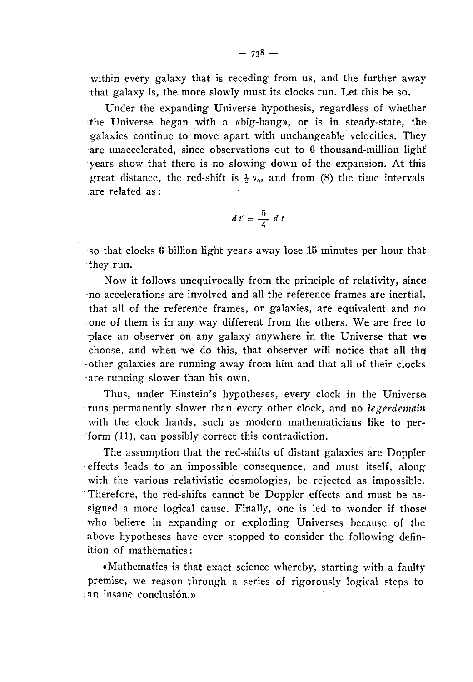within every galaxy that is receding from us, and the further away that galaxy is, the more slowly must its clocks run. Let this be so.

Under the expanding Universe hypothesis, regardless of whether the Universe began with a «big-bang», or is in steady-state, the galaxies continue to move apart with unchangeable velocities. They are unaccelerated, since observations out to 6 thousand-million light years show that there is no slowing down of the expansion. At this great distance, the red-shift is  $\frac{1}{2}v_0$ , and from (8) the time intervals .are related as :

$$
d\ t'=\frac{5}{4}\ d\ t
$$

so that clocks 6 billion light years away lose 15 minutes per hour that -they run.

Now it follows unequivocally from the principle of relativity, since -no accelerations are involved and all the reference frames are inertial, that all of the reference frames, or galaxies, are equivalent and no •one of them is in any way different from the others. We are free to -place an observer on any galaxy anywhere in the Universe that we choose, and when we do this, that observer will notice that all the other galaxies are running away from him and that all of their clocks -are running slower than his own.

Thus, under Einstein's hypotheses, every clock in the Universe runs permanently slower than every other clock, and no *legerdemain* with the clock hands, such as modern mathematicians like to perform (11), can possibly correct this contradiction.

The assumption that the red-shifts of distant galaxies are Doppler effects leads to an impossible consequence, and must itself, along with the various relativistic cosmologies, be rejected as impossible. "Therefore, the red-shifts cannot be Doppler effects and must be assigned a more logical cause. Finally, one is led to wonder if those who believe in expanding or exploding Universes because of the above hypotheses have ever stopped to consider the following definition of mathematics :

«Mathematics is that exact science whereby, starting with a faulty premise, we reason through a series of rigorously logical steps to ;an insane conclusión.»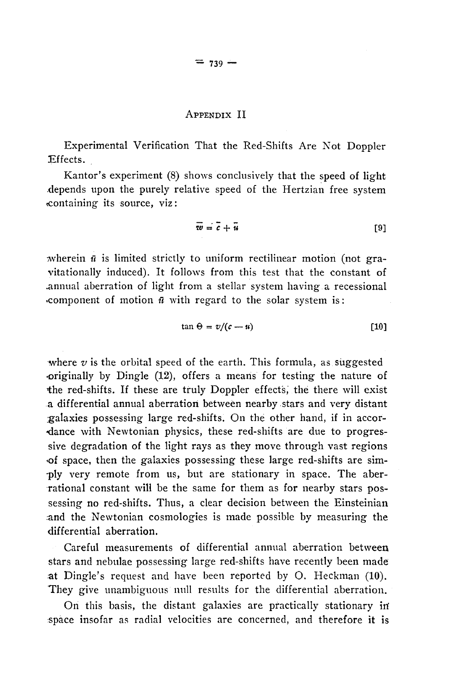### APPENDIX II

Experimental Verification That the Red-Shifts Are Not Doppler Effects.

Kantor's experiment (8) shows conclusively that the speed of light .depends upon the purely relative speed of the Hertzian free system (Containing its source, viz :

$$
\overline{w} = \overline{c} + \overline{u} \tag{9}
$$

wherein *ü* is limited strictly to uniform rectilinear motion (not gravitationally induced). It follows from this test that the constant of .annual aberration of light from a stellar system having a recessional •component of motion *ñ* with regard to the solar system is :

$$
\tan \Theta = v/(c-u) \tag{10}
$$

where  $v$  is the orbital speed of the earth. This formula, as suggested •originally by Dingle (12), offers a means for testing the nature of the red-shifts. If these are truly Doppler effects, the there will exist a differential annual aberration between nearby stars and very distant ;galaxies possessing large red-shifts. On the other hand, if in accordance with Newtonian physics, these red-shifts are due to progressive degradation of the light rays as they move through vast regions •of space, then the galaxies possessing these large red-shifts are sim- -ply very remote from us, but are stationary in space. The aberrational constant will be the same for them as for nearby stars possessing no red-shifts. Thus, a clear decision between the Einsteinian and the Newtonian cosmologies is made possible by measuring the differential aberration.

Careful measurements of differential annual aberration between stars and nebulae possessing large red-shifts have recently been made at Dingle's request and have been reported by O. Heckman (10). They give unambiguous null results for the differential aberration.

On this basis, the distant galaxies are practically stationary in' :space insofar as radial velocities are concerned, and therefore it is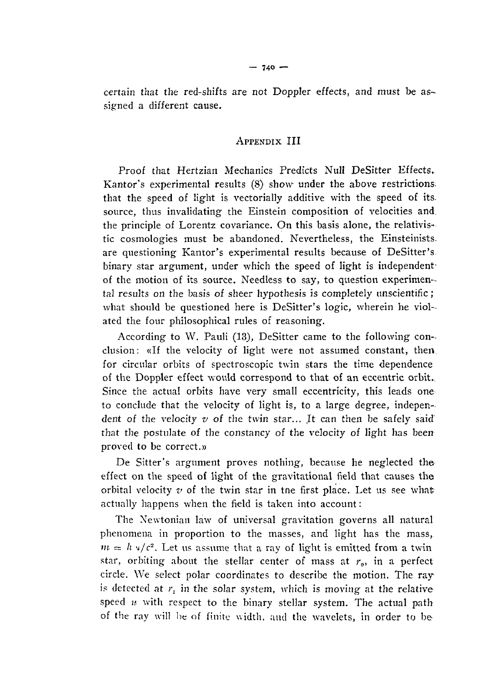certain that the red-shifts are not Doppler effects, and must be assigned a different cause.

## APPENDIX III

Proof that Hertzian Mechanics Predicts Nuli DeSitter Effects. Kantor's experimental results  $(8)$  show under the above restrictions. that the speed of light is vectorially additive with the speed of its. source, thus invalidating the Einstein composition of velocities and. the principle of Lorentz covariance. On this basis alone, the relativistic cosmologies must be abandoned. Nevertheless, the Einsteinists. are questioning Kantor's experimental results because of DeSitter's binary star argument, under which the speed of light is independentof the motion of its source. Needless to say, to question experimental results on the basis of sheer hypothesis is completely unscientific ; what should be questioned here is DeSitter's logic, wherein he violated the four philosophical rules of reasoning.

According to W. Pauli (13), DeSitter came to the following conclusion: «If the velocity of light were not assumed constant, then for circular orbits of spectroscopic twin stars the time dependence of the Doppler effect would correspond to that of an eccentric orbit.. Since the actual orbits have very small eccentricity, this leads one to conclude that the velocity of light is, to a large degree, independent of the velocity *v* of the twin star... It can then be safely said" that the postulate of the constancy of the velocity of light has been proved to be correct.»

De Sitter's argument proves nothing, because he neglected the effect on the speed of light of the gravitational field that causes the orbital velocity *v* of the twin star in tne first place. Let us see what actually happens when the field is taken into account :

The Newtonian law of universal gravitation governs all natural phenomena in proportion to the masses, and light has the mass,  $m = h \sqrt{c^2}$ . Let us assume that a ray of light is emitted from a twin star, orbiting about the stellar center of mass at  $r_0$ , in a perfect circle. We select polar coordinates to describe the motion. The ray is detected at  $r_1$  in the solar system, which is moving at the relative speed  $u$  with respect to the binary stellar system. The actual path of the ray will be of finite width, and the wavelets, in order to be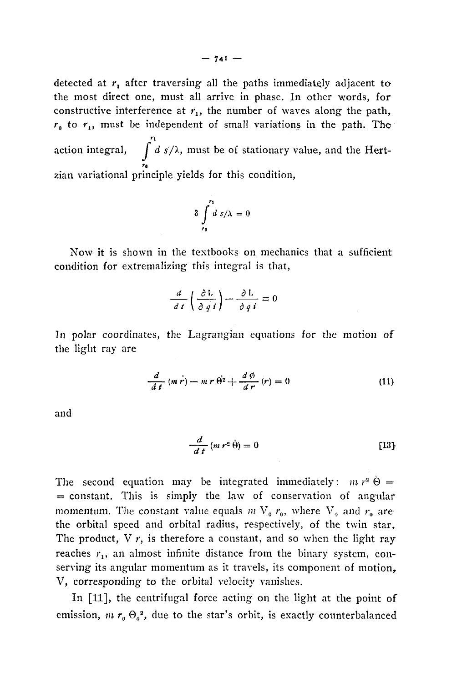detected at  $r_1$  after traversing all the paths immediately adjacent to the most direct one, must all arrive in phase. In other words, for constructive interference at  $r_1$ , the number of waves along the path,  $r<sub>0</sub>$  to  $r<sub>1</sub>$ , must be independent of small variations in the path. The  $r_1$ action integral,  $\int d\,s/\lambda$ , must be of stationary value, and the Hert-'« zian variational principle yields for this condition,

$$
\delta \int_{t_0}^{t_1} ds/\lambda = 0
$$

Now it is shown in the textbooks on mechanics that a sufficient condition for extremalizing this integral is that,

$$
\frac{d}{dt}\left(\frac{\partial L}{\partial q \, i}\right) - \frac{\partial L}{\partial q \, i} \equiv 0
$$

In polar coordinates, the Lagrangian equations for the motion of the light ray are

$$
\frac{d}{dt}(m\dot{r}) - m\,r\,\dot{\theta}^2 + \frac{d\,\phi}{dr}(r) = 0\tag{11}
$$

and

$$
\frac{d}{dt}(m\,r^2\,\dot{\theta})=0\qquad \qquad [13]
$$

The second equation may be integrated immediately:  $m r^2 \dot{\Theta} =$  $=$  constant. This is simply the law of conservation of angular momentum. The constant value equals  $m V_0 r_0$ , where  $V_0$  and  $r_0$  are the orbital speed and orbital radius, respectively, of the twin star. The product,  $V r$ , is therefore a constant, and so when the light ray reaches  $r_1$ , an almost infinite distance from the binary system, conserving its angular momentum as it travels, its component of motion, V, corresponding to the orbital velocity vanishes.

In [11], the centrifugal force acting on the light at the point of emission,  $m r_{\scriptscriptstyle{\theta}} \, \Theta_{\scriptscriptstyle{\theta}}^{-2}$ , due to the star's orbit, is exactly counterbalanced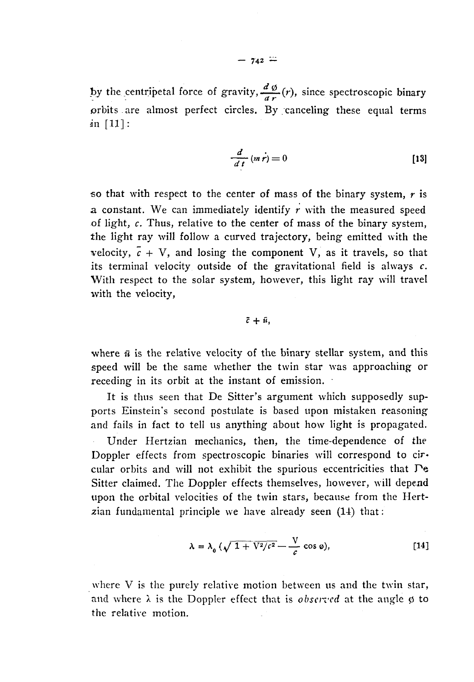by the centripetal force of gravity,  $\frac{d\phi}{dr}(r)$ , since spectroscopic binary orbits are almost perfect circles. By/canceling these equal terms in [11]:

$$
\frac{d}{dt}(m\dot{r}) = 0
$$
 [13]

so that with respect to the center of mass of the binary system, *r* is a constant. We can immediately identify *r* with the measured speed of light, *c.* Thus, relative to the center of mass of the binary system, the light ray will follow a curved trajectory, being emitted with the velocity,  $\bar{c}$  + V, and losing the component V, as it travels, so that its terminal velocity outside of the gravitational field is always *c.* With respect to the solar system, however, this light ray will travel with the velocity,

$$
\bar{c} + \bar{u},
$$

where  $\bar{u}$  is the relative velocity of the binary stellar system, and this speed will be the same whether the twin star was approaching or receding in its orbit at the instant of emission.

It is thus seen that De Sitter's argument which supposedly supports Einstein's second postulate is based upon mistaken reasoning and fails in fact to tell us anything about how light is propagated.

Under Hertzian mechanics, then, the time-dependence of the Doppler effects from spectroscopic binaries will correspond to circular orbits and will not exhibit the spurious eccentricities that Pe Sitter claimed. The Doppler effects themselves, however, will depend upon the orbital velocities of the twin stars, because from the Hertzian fundamental principle we have already seen (14) that :

$$
\lambda = \lambda_0 \left( \sqrt{1 + V^2/c^2} - \frac{V}{c} \cos \varphi \right), \tag{14}
$$

where V is the purely relative motion between us and the twin star, and where  $\lambda$  is the Doppler effect that is *observed* at the angle  $\phi$  to the relative motion.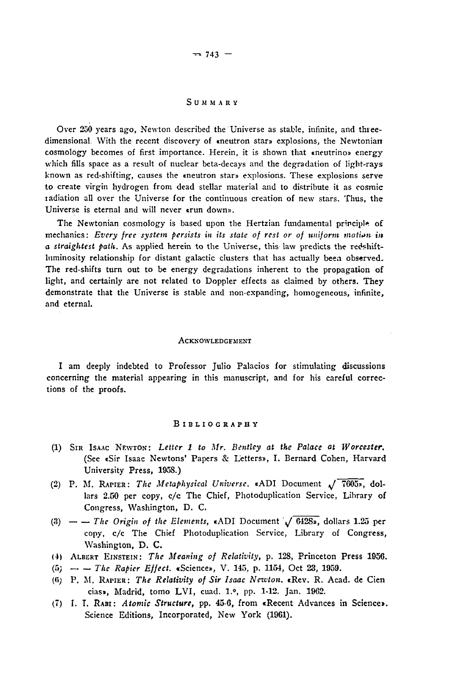#### SUMMAR Y

Over 250 years ago, Newton described the Universe as stable, infinite, and threedimensional With the recent discovery of «neutron star» explosions, the Newtonian cosmology becomes of first importance. Herein, it is shown that «neutrino» energy which fills space as a result of nuclear beta-decays and the degradation of light-rays known as red-shifting, causes the «neutron star» explosions. These explosions serve to create virgin hydrogen from dead stellar material and to distribute it as cosmic ladiation all over the Universe for the continuous creation of new stars. Thus, the Universe is eternal and will never «run down».

The Newtonian cosmology is based upon the Hertzian fundamental principle of mechanics: *Every free system persists in its state of rest or of uniform motion in a straightest path.* As applied herein to the Universe, this law predicts the redshiftluminosity relationship for distant galactic clusters that has actually beea observed. The red-shifts turn out to be energy degradations inherent to the propagation of light, and certainly are not related to Doppler effects as claimed by others. They demonstrate that the Universe is stable and non-expanding, homogeneous, infinite, and eternal.

#### ACKNOWLEDGEMENT

I am deeply indebted to Professor Julio Palacios for stimulating discussions concerning the material appearing in this manuscript, and for his careful corrections of the proofs.

#### BIBLIOGRAPH Y

- (1) SIR ISAAC NEWTON: *Letter 1 to Mr. Bentley at the Palace at Worcester.* (See «Sir Isaac Newtons" Papers & Letters», I. Bernard Cohen, Harvard University Press, 1958.)
- (2) P. M. RAPIER: *The Metaphysical Universe.* «ADI Document *J* 7605», dollars 2.50 per copy, c/c The Chief, Photoduplication Service, Library of Congress, Washington, D. C.
- (3)  $-$  The Origin of the Elements, «ADI Document  $\sqrt{6428}$ », dollars 1.25 per copy, c/c The Chief Photoduplication Service, Library of Congress, Washington, D. C.
- (4) ALBERT EINSTEIN: *The Meaning of Relativity,* p. 128, Princeton Press 1956.
- (5; *The Rapier Effect.* «Science», V. 145, p. 1154, Oct 23, 1959.
- (<i; P. M. RAPIER: *The Relativity of Sir Isaac Newton.* «Rev. R. Acad. de Cien cias», Madrid, tomo LVI, cuad. l.°, pp. 1-12. Jan. 1962.
- (7) I. I. RABI: *Atomic Structure,* pp. 45-6, from «Recent Advances in Science». Science Editions, Incorporated, New York (1961).